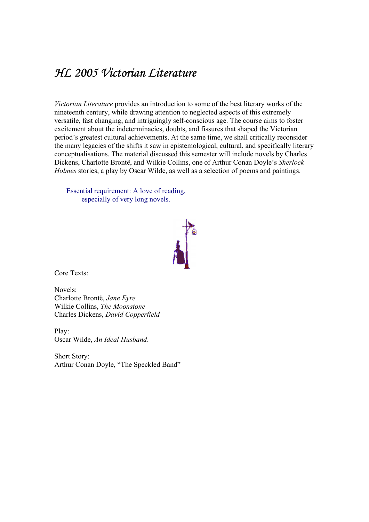## HL 2005 Victorian Literature

Victorian Literature provides an introduction to some of the best literary works of the nineteenth century, while drawing attention to neglected aspects of this extremely versatile, fast changing, and intriguingly self-conscious age. The course aims to foster excitement about the indeterminacies, doubts, and fissures that shaped the Victorian period's greatest cultural achievements. At the same time, we shall critically reconsider the many legacies of the shifts it saw in epistemological, cultural, and specifically literary conceptualisations. The material discussed this semester will include novels by Charles Dickens, Charlotte Brontë, and Wilkie Collins, one of Arthur Conan Doyle's Sherlock Holmes stories, a play by Oscar Wilde, as well as a selection of poems and paintings.

Essential requirement: A love of reading, especially of very long novels.



Core Texts:

Novels: Charlotte Brontë, Jane Eyre Wilkie Collins, The Moonstone Charles Dickens, David Copperfield

Play: Oscar Wilde, An Ideal Husband.<br>Short Story:

Arthur Conan Doyle, "The Speckled Band"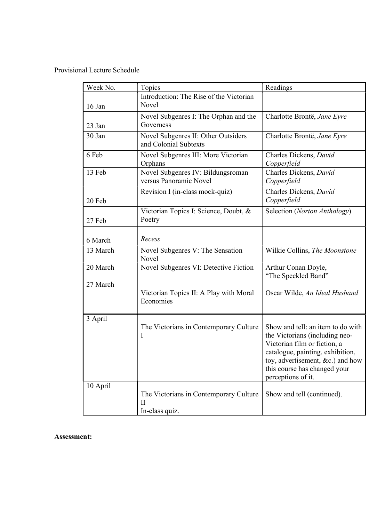Provisional Lecture Schedule

| Week No. | Topics                                                                  | Readings                                                                                                                                                                                                                             |
|----------|-------------------------------------------------------------------------|--------------------------------------------------------------------------------------------------------------------------------------------------------------------------------------------------------------------------------------|
| 16 Jan   | Introduction: The Rise of the Victorian<br>Novel                        |                                                                                                                                                                                                                                      |
| $23$ Jan | Novel Subgenres I: The Orphan and the<br>Governess                      | Charlotte Brontë, Jane Eyre                                                                                                                                                                                                          |
| 30 Jan   | Novel Subgenres II: Other Outsiders<br>and Colonial Subtexts            | Charlotte Brontë, Jane Eyre                                                                                                                                                                                                          |
| 6 Feb    | Novel Subgenres III: More Victorian<br>Orphans                          | Charles Dickens, David<br>Copperfield                                                                                                                                                                                                |
| 13 Feb   | Novel Subgenres IV: Bildungsroman<br>versus Panoramic Novel             | Charles Dickens, David<br>Copperfield                                                                                                                                                                                                |
| 20 Feb   | Revision I (in-class mock-quiz)                                         | Charles Dickens, David<br>Copperfield                                                                                                                                                                                                |
| 27 Feb   | Victorian Topics I: Science, Doubt, &<br>Poetry                         | Selection (Norton Anthology)                                                                                                                                                                                                         |
| 6 March  | Recess                                                                  |                                                                                                                                                                                                                                      |
| 13 March | Novel Subgenres V: The Sensation<br>Novel                               | Wilkie Collins, The Moonstone                                                                                                                                                                                                        |
| 20 March | Novel Subgenres VI: Detective Fiction                                   | Arthur Conan Doyle,<br>"The Speckled Band"                                                                                                                                                                                           |
| 27 March | Victorian Topics II: A Play with Moral<br>Economies                     | Oscar Wilde, An Ideal Husband                                                                                                                                                                                                        |
| 3 April  | The Victorians in Contemporary Culture<br>I                             | Show and tell: an item to do with<br>the Victorians (including neo-<br>Victorian film or fiction, a<br>catalogue, painting, exhibition,<br>toy, advertisement, $\&c$ ) and how<br>this course has changed your<br>perceptions of it. |
| 10 April | The Victorians in Contemporary Culture<br>$_{\rm II}$<br>In-class quiz. | Show and tell (continued).                                                                                                                                                                                                           |

## Assessment: